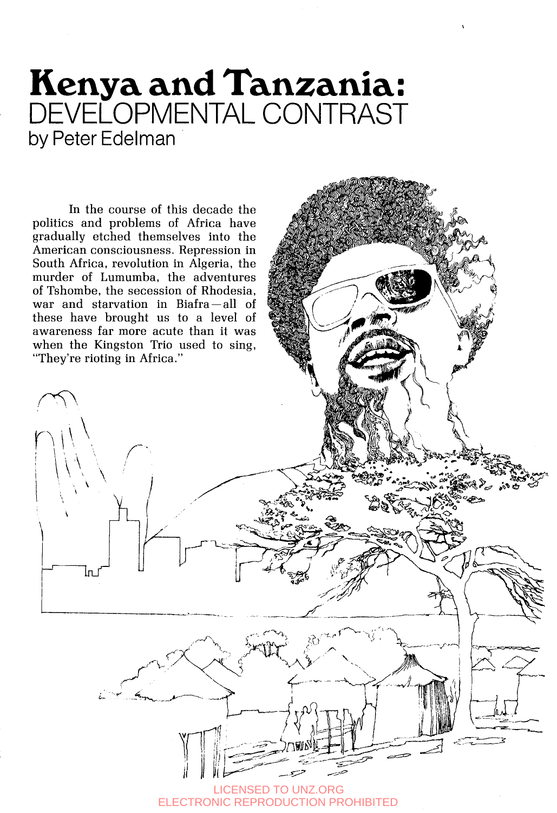## **Kenya and Tanzania:**  DEVELOPMENTAL CONTRAST by Peter Edelman

In the course of this decade the politics and problems of Africa have gradually etched themselves into the American consciousness. Repression in South Africa, revolution in Algeria, the murder of Lumumba, the adventures of Tshombe, the secession of Rhodesia, war and starvation in Biafra-all of these have brought us to a level of awareness far more acute than it was when the Kingston Trio used to sing. "They're rioting in Africa."

\

lп

*i* 

**ENSED TO UNZ.ORG** ELECTRONIC REPRODUCTION PROHIBITED *1*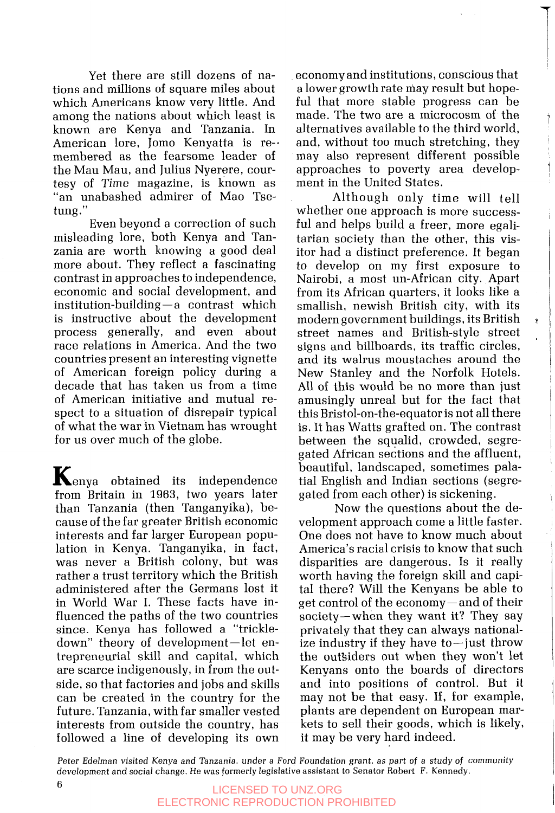Yet there are still dozens of nations and millions of square miles about which Americans know very little. And among the nations about which least is known are Kenya and Tanzania. In American lore, Jomo Kenyatta is re- membered as the fearsome leader of the Mau Mau, and Julius Nyerere, courtesy of Time magazine, is known as "an unabashed admirer of Mao Tsetung."

Even beyond a correction of such misleading lore, both Kenya and Tanzania are worth knowing a good deal more about. They reflect a fascinating contrast in approaches to independence, economic and social development, and<br>institution-building—a contrast which is instructive about the development process generally, and even about race relations in America. And the two countries present an interesting vignette of American foreign policy during a decade that has taken us from a time of American initiative and mutual respect to a situation of disrepair typical of what the war in Vietnam has wrought for us over much of the globe.

 $\mathbf{K}_{\text{enya}}$  obtained its independence from Britain in **1963,** two years later than Tanzania (then Tanganyika), because of the far greater British economic interests and far larger European population in Kenya. Tanganyika, in fact, was never a British colony, but was rather a trust territory which the British administered after the Germans lost it in World War I. These facts have influenced the paths of the two countries since. Kenya has followed a "trickledown" theory of development—let entrepreneurial skill and capital, which are scarce indigenously, in from the outside, so that factories and jobs and skills can be created in the country for the future. Tanzania, with far smaller vested interests from outside the country, has followed a line of developing its own

economy and institutions, conscious that a lower growth rate may result but hopeful that more stable progress can be made. The two are a microcosm of the alternatives available to the third world, and, without too much stretching, they may also represent different possible approaches to poverty area development in the United States.

*7*  I

Although only time will tell whether one approach is more successful and helps build a freer, more egalitarian society than the other, this visitor had a distinct preference. It began to develop on my first exposure to Nairobi, a most un-African city. Apart from its African quarters, it looks like a smallish, newish British city, with its modern government buildings, its British street names and British-style street signs and billboards, its traffic circles, and its walrus moustaches around the New Stanley and the Norfolk Hotels. All of this would be no more than just amusingly unreal but for the fact that this Bristol-on-the-equator is not all there is. It has Watts grafted on. The contrast between the squalid, crowded, segregated African sections and the affluent, beautiful, landscaped, sometimes palatial English and Indian sections (segregated from each other) is sickening.

Now the questions about the development approach come a little faster. One does not have to know much about America's racial crisis to know that such disparities are dangerous. Is it really worth having the foreign skill and capital there? Will the Kenyans be able to get control of the economy-and of their society-when they want it? They say privately that they can always nationalize industry if they have to-just throw the outsiders out when they won't let Kenyans onto the boards of directors and into positions of control. But it may not be that easy. If, for example, plants are dependent on European markets to sell their goods, which is likely, it may be very hard indeed.

Peter Edelman visited Kenya and Tanzania, under a Ford Foundation grant, as part of a study of community development and social change. He was formerly legislative assistant to Senator Robert F. Kennedy.

### **6**<br>LICENSED TO UNZ.ORG ELECTRONIC REPRODUCTION PROHIBITED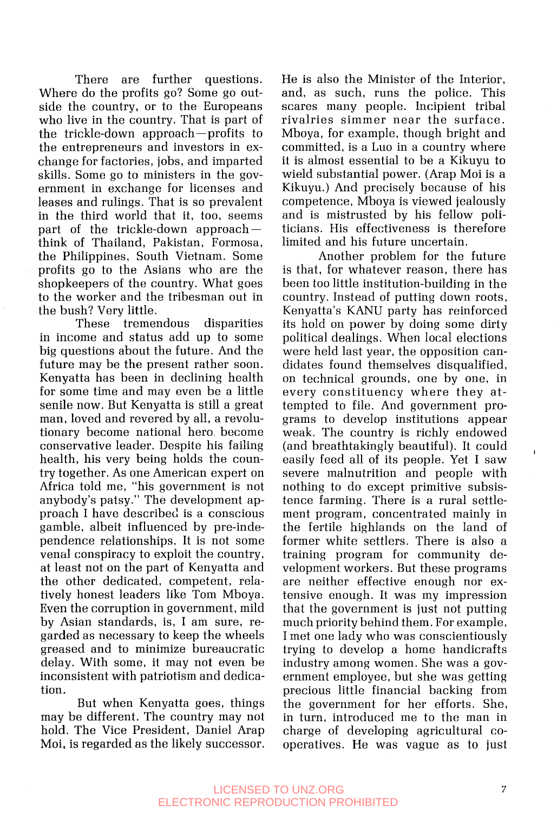There are further questions. Where do the profits go? Some go outside the country, or to the Europeans who live in the country. That is part of the trickle-down approach-profits to the entrepreneurs and investors in exchange for factories, jobs, and imparted skills. Some go to ministers in the government in exchange for licenses and leases and rulings. That is so prevalent in the third world that it, too, seems<br>part of the trickle-down approach think of Thailand, Pakistan, Formosa, the Philippines, South Vietnam. Some profits go to the Asians who are the shopkeepers of the country. What goes to the worker and the tribesman out in the bush? Very little.

These tremendous disparities in income and status add up to some big questions about the future. And the future may be the present rather soon. Kenyatta has been in declining health for some time and may even be a little senile now. But Kenyatta is still a great man, loved and revered by all, a revolutionary become national hero become conservative leader. Despite his failing health, his very being holds the country together. **As** one American expert on Africa told me, "his government is not anybody's patsy." The development approach I have described is a conscious gamble, albeit influenced by pre-independence relationships. It is not some venal conspiracy to exploit the country, at least not on the part of Kenyatta and the other dedicated, competent, relatively honest leaders like Tom Mboya. Even the corruption in government, mild by Asian standards, is, I am sure, regarded as necessary to keep the wheels greased and to minimize bureaucratic delay. With some, it may not even be inconsistent with patriotism and dedication.

But when Kenyatta goes, things may be different. The country may not hold. The Vice President, Daniel Arap Moi, is regarded as the likely successor. He is also the Minister of the Interior, and, as such, runs the police. This scares many people. Incipient tribal rivalries simmer near the surface. Mboya, for example, though bright and committed, is a Luo in a country where it is almost essential to be a Kikuyu to wield substantial power. (Arap Moi is a Kikuyu.) And precisely because of his competence, Mboya is viewed jealously and is mistrusted by his fellow politicians. His effectiveness is therefore limited and his future uncertain.

Another problem for the future is that, for whatever reason, there has been too little institution-building in the country. Instead of putting down roots, Kenyatta's KANU party has reinforced its hold on power by doing some dirty political dealings. When local elections were held last year, the opposition candidates found themselves disqualified, on technical grounds, one by one, in every constituency where they attempted to file. And government programs to develop institutions appear weak. The country is richly endowed (and breathtakingly beautiful). It could easily feed all of its people. Yet I saw severe malnutrition and people with nothing to do except primitive subsistence farming. There is a rural settlement program, concentrated mainly in the fertile highlands on the land of former white settlers. There is also a training program for community development workers. But these programs are neither effective enough nor extensive enough. It was my impression that the government is just not putting much priority behind them. For example, I met one lady who was conscientiously trying to develop a home handicrafts industry among women. She was a government employee, but she was getting precious little financial backing from the government for her efforts. She, in turn, introduced me to the man in charge of developing agricultural cooperatives. He was vague as to just

#### LICENSED TO UNZ.ORG 7 ELECTRONIC REPRODUCTION PROHIBITED

**I**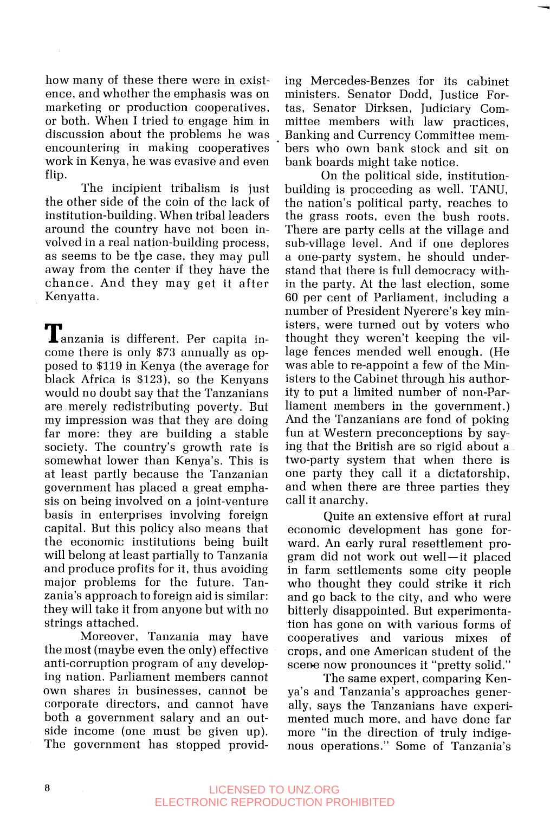how many of these there were in exist- ing Mercedes-Benzes for its cabinet ence, and whether the emphasis was on ministers. Senator Dodd, Justice Formarketing or production cooperatives, tas, Senator Dirksen, Judiciary Comor both. When I tried to engage him in mittee members with law practices, discussion about the problems he was Banking and Currency Committee memencountering in making cooperatives work in Kenya, he was evasive and even flip.

The incipient tribalism is just the other side of the coin of the lack of institution-building. When tribal leaders around the country have not been involved in a real nation-building process, as seems to be tbe case, they may pull away from the center if they have the chance. And they may get it after Kenyatta.

Tanzania is different. Per capita income there is only **\$73** annually as opposed to \$119 in Kenya (the average for black Africa is \$123), so the Kenyans would no doubt say that the Tanzanians are merely redistributing poverty. But my impression was that they are doing far more: they are building a stable society. The country's growth rate is somewhat lower than Kenya's. This is at least partly because the Tanzanian government has placed a great emphasis on being involved on a joint-venture basis in enterprises involving foreign capital. But this policy also means that the economic institutions being built will belong at least partially to Tanzania and produce profits for it, thus avoiding major problems for the future. Tanzania's approach to foreign aid is similar: they will take it from anyone but with no strings attached.

Moreover, Tanzania may have the most (maybe even the only) effective anti-corruption program of any developing nation. Parliament members cannot own shares in businesses, cannot be corporate directors, and cannot have both a government salary and an outside income (one must be given up). The government has stopped providbers who own bank stock and sit on bank boards might take notice.

-

On the political side, institutionbuilding is proceeding as well. TANU, the nation's political party, reaches to the grass roots, even the bush roots. There are party cells at the village and sub-village level. And if one deplores a one-party system, he should understand that there is full democracy within the party. At the last election, some 60 per cent of Parliament, including a number of President Nyerere's key ministers, were turned out by voters who thought they weren't keeping the village fences mended well enough. (He was able to re-appoint a few of the Ministers to the Cabinet through his authority to put a limited number of non-Parliament members in the government.) And the Tanzanians are fond of poking fun at Western preconceptions by saying that the British are so rigid about a two-party system that when there is one party they call it a dictatorship, and when there are three parties they call it anarchy.

Quite an extensive effort at rural economic development has gone forward. An early rural resettlement program did not work out well-it placed in farm settlements some city people who thought they could strike it rich and go back to the city, and who were bitterly disappointed. But experimentation has gone on with various forms of cooperatives and various mixes of crops, and one American student of the scene now pronounces it "pretty solid."

The same expert, comparing Kenya's and Tanzania's approaches generally, says the Tanzanians have experimented much more, and have done far more "in the direction of truly indigenous operations." Some of Tanzania's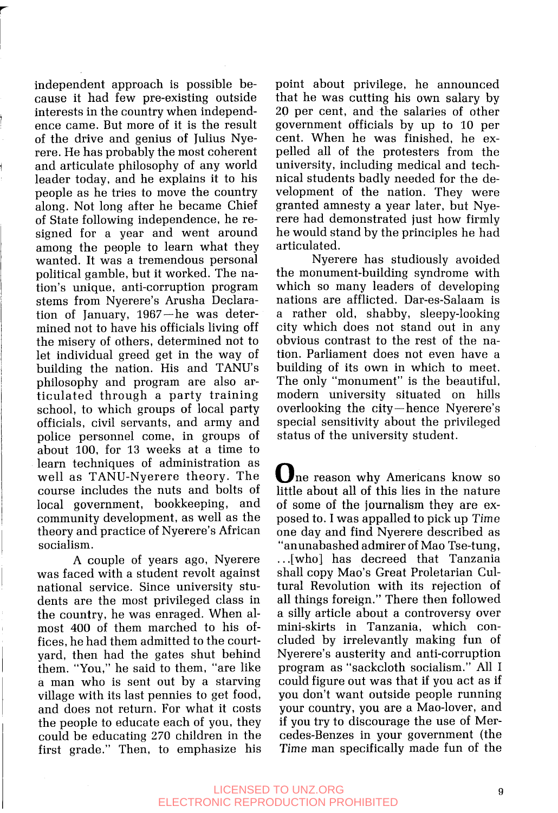independent approach is possible because it had few pre-existing outside interests in the country when independence came. But more of it is the result of the drive and genius of Julius Nyerere. He has probably the most coherent and articulate philosophy of any world leader today, and he explains it to his people as he tries to move the country along. Not long after he became Chief of State following independence, he resigned for a year and went around among the people to learn what they wanted. It was a tremendous personal political gamble, but it worked. The nation's unique, anti-corruption program stems from Nyerere's Arusha Declaration of January, 1967-he was determined not to have his officials living off the misery of others, determined not to let individual greed get in the way of building the nation. His and TANU's philosophy and program are also articulated through a party training school, to which groups of local party officials, civil servants, and army and police personnel come, in groups of about 100, for 13 weeks at a time to learn techniques of administration as well as TANU-Nyerere theory. The course includes the nuts and bolts of local government, bookkeeping, and community development, as well as the theory and practice of Nyerere's African socialism.

**A** couple of years ago, Nyerere was faced with a student revolt against national service. Since university students are the most privileged class in the country, he was enraged. When almost 400 of them marched to his offices, he had them admitted to the courtyard, then had the gates shut behind them. "You," he said to them, "are like a man who is sent out by a starving village with its last pennies to get food, and does not return. For what it costs the people to educate each of you, they could be educating 270 children in the first grade." Then, to emphasize his point about privilege, he announced that he was cutting his own salary by 20 per cent, and the salaries of other government officials by up to 10 per cent. When he was finished, he expelled all of the protesters from the university, including medical and technical students badly needed for the development of the nation. They were granted amnesty a year later, but Nyerere had demonstrated just how firmly he would stand by the principles he had articulated.

Nyerere has studiously avoided the monument-building syndrome with which so many leaders of developing nations are afflicted. Dar-es-Salaam is a rather old, shabby, sleepy-looking city which does not stand out in any obvious contrast to the rest of the nation. Parliament does not even have a building of its own in which to meet. The only "monument" is the beautiful, modern university situated on hills overlooking the city- hence Nyerere's special sensitivity about the privileged status of the university student.

One reason why Americans know so little about all of this lies in the nature of some of the journalism they are exposed to. I was appalled to pick up Time one day and find Nyerere described as "anunabashed admirer of Mao Tse-tung, . . .[who] has decreed that Tanzania shall copy Mao's Great Proletarian Cultural Revolution with its rejection of all things foreign." There then followed a silly article about a controversy over mini-skirts in Tanzania, which concluded by irrelevantly making fun of Nyerere's austerity and anti-corruption program as "sackcloth socialism." All I could figure out was that if you act as if you don't want outside people running your country, you are a Mao-lover, and if you try to discourage the use of Mercedes-Benzes in your government (the Time man specifically made fun of the

#### LICENSED TO UNZ.ORG 9 ELECTRONIC REPRODUCTION PROHIBITED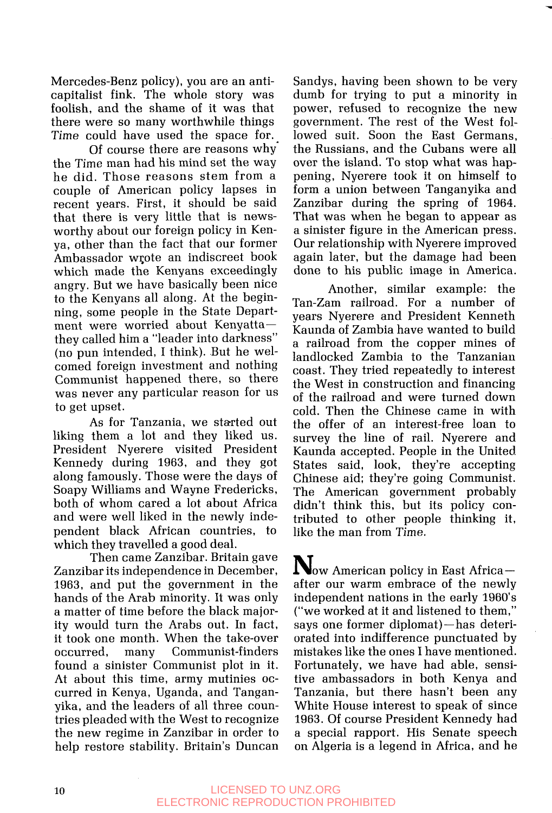Mercedes-Benz policy), you are an anticapitalist fink. The whole story was foolish, and the shame of it was that there were so many worthwhile things Time could have used the space for.

Of course there are reasons why" the Time man had his mind set the way he did. Those reasons stem from a couple of American policy lapses in recent years. First, it should be said that there is very little that is newsworthy about our foreign policy in Kenya, other than the fact that our former Ambassador wqote an indiscreet book which made the Kenyans exceedingly angry. But we have basically been nice to the Kenyans all along. At the beginning, some people in the State Department were worried about Kenyattathey called him a "leader into darkness" (no pun intended, I think). But he welcomed foreign investment and nothing Communist happened there, so there was never any particular reason for us to get upset.

As for Tanzania, we started out liking them a lot and they liked us. President Nyerere visited President Kennedy during **1963,** and they got along famously. Those were the days of Soapy Williams and Wayne Fredericks, both of whom cared a lot about Africa and were well liked in the newly independent black African countries, to which they travelled a good deal.

Then came Zanzibar. Britain gave Zanzibar its independence in December, **1963,** and put the government in the hands of the Arab minority. It was only a matter of time before the black majority would turn the Arabs out. In fact, it took one month. When the take-over occurred, many Communist-finders found a sinister Communist plot in it. At about this time, army mutinies occurred in Kenya, Uganda, and Tanganyika, and the leaders of all three countries pleaded with the West to recognize the new regime in Zanzibar in order to help restore stability. Britain's Duncan Sandys, having been shown to be very dumb for trying to put a minority in power, refused to recognize the new government. The rest of the West followed suit. Soon the East Germans, the Russians, and the Cubans were all over the island. To stop what was happening, Nyerere took it on himself to form a union between Tanganyika and Zanzibar during the spring of **1964.**  That was when he began to appear as a sinister figure in the American press. Our relationship with Nyerere improved again later, but the damage had been done to his public image in America. **T** 

Another, similar example: the Tan-Zam railroad. For a number of years Nyerere and President Kenneth Kaunda of Zambia have wanted to build a railroad from the copper mines of landlocked Zambia to the Tanzanian coast. They tried repeatedly to interest the West in construction and financing of the railroad and were turned down cold. Then the Chinese came in with the offer of an interest-free loan to survey the line of rail. Nyerere and Kaunda accepted. People in the United. States said, look, they're accepting Chinese aid; they're going Communist. The American government probably didn't think this, but its policy contributed to other people thinking it, like the man from Time.

 $N_{\text{ow American policy in East Africa--}}$ after our warm embrace of the newly independent nations in the early **1960's**  ("we worked at it and listened to them," says one former diplomat)-has deteriorated into indifference punctuated by mistakes like the ones I have mentioned. Fortunately, we have had able, sensitive ambassadors in both Kenya and Tanzania, but there hasn't been any White House interest to speak of since **1963.** Of course President Kennedy had a special rapport. His Senate speech on Algeria is a legend in Africa, and he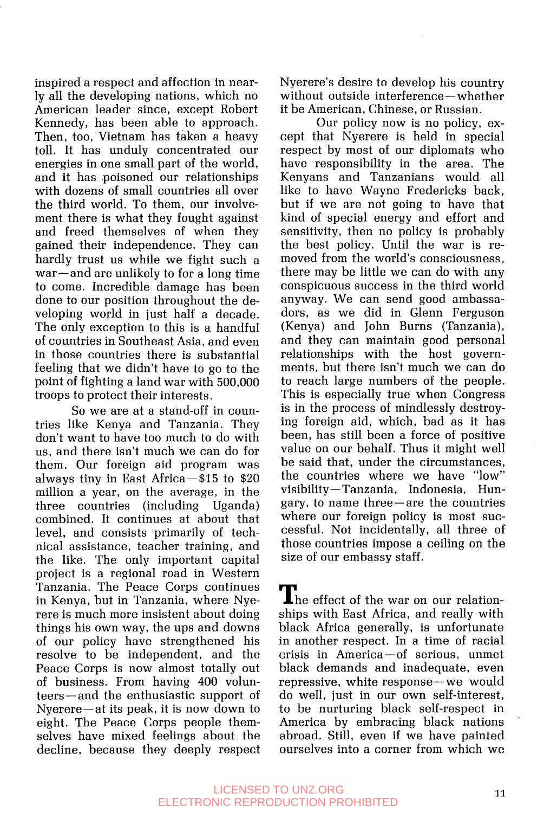inspired a respect and affection in nearly all the developing nations, which no American leader since, except Robert Kennedy, has been able to approach. Then, too, Vietnam has taken a heavy toll. It has unduly concentrated our energies in one small part of the world, and it has poisoned our relationships with dozens of small countries all over the third world. To them, our involvement there is what they fought against and freed themselves of when they gained their independence. They can hardly trust us while we fight such a war-and are unlikely to for a long time to come. Incredible damage has been done to our position throughout the developing world in just half a decade. The only exception to this is a handful of countries in Southeast Asia, and even in those countries there is substantial feeling that we didn't have to go to the point of fighting a land war with 500,000 troops to protect their interests.

**T** 

So we are at a stand-off in countries like Kenya and Tanzania. They don't want to have too much to do with us, and there isn't much we can do for them. Our foreign aid program was always tiny in East Africa $-\frac{15}{15}$  to \$20 million a year, on the average, in the three countries (including Uganda) combined. It continues at about that level, and consists primarily of technical assistance, teacher training, and the like. The only important capital project is a regional road in Western Tanzania. The Peace Corps continues in Kenya, but in Tanzania, where Nyerere is much more insistent about doing things his own way, the ups and downs of our policy have strengthened his resolve to be independent, and the Peace Corps is now almost totally out of business. From having 400 volunteers-and the enthusiastic support of Nyerere-at its peak, it is now down to eight. The Peace Corps people themselves have mixed feelings about the decline, because they deeply respect Nyerere's desire to develop his country without outside interference-whether it be American, Chinese, or Russian.

Our policy now is no policy, except that Nyerere is held in special respect by most of our diplomats who have responsibility in the area. The Kenyans and Tanzanians would all like to have Wayne Fredericks back, but if we are not going to have that kind of special energy and effort and sensitivity, then no policy is probably the best policy. Until the war is removed from the world's consciousness, there may be little we can do with any conspicuous success in the third world anyway. We can send good ambassadors, as we did in Glenn Ferguson (Kenya) and John Burns (Tanzania), and they can maintain good personal relationships with the host governments, but there isn't much we can do to reach large numbers of the people. This is especially true when Congress is in the process of mindlessly destroying foreign aid, which, bad as it has been, has still been a force of positive value on our behalf. Thus it might well be said that, under the circumstances, the countries where we have "low" visibility- Tanzania, Indonesia, Hungary, to name three-are the countries where our foreign policy is most successful. Not incidentally, all three of those countries impose a ceiling on the size of our embassy staff.

The effect of the war on our relationships with East Africa, and really with black Africa generally, is unfortunate in another respect. In a time of racial crisis in America-of serious, unmet black demands and inadequate, even repressive, white response-we would do well, just in our own self-interest, to be nurturing black self-respect in America by embracing black nations abroad. Still, even if we have painted ourselves into a corner from which we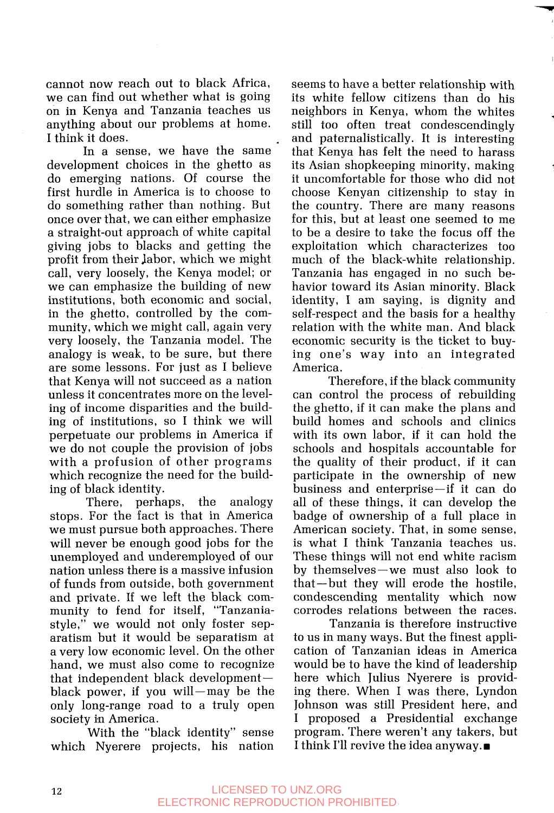cannot now reach out to black Africa, we can find out whether what is going on in Kenya and Tanzania teaches us anything about our problems at home. I think it does.

In a sense, we have the same development choices in the ghetto as do emerging nations. Of course the first hurdle in America is to choose to do something rather than nothing. But once over that, we can either emphasize a straight-out approach of white capital giving jobs to blacks and getting the profit from their labor, which we might call, very loosely, the Kenya model; or we can emphasize the building of new institutions, both economic and social, in the ghetto, controlled by the community, which we might call, again very very loosely, the Tanzania model. The analogy is weak, to be sure, but there are some lessons. For just as I believe that Kenya will not succeed as a nation unless it concentrates more on the leveling of income disparities and the building of institutions, so I think we will perpetuate our problems in America if we do not couple the provision of jobs with a profusion of other programs which recognize the need for the building of black identity.

There, perhaps, the analogy stops. For the fact is that in America we must pursue both approaches. There will never be enough good jobs for the unemployed and underemployed of our nation unless there is a massive infusion of funds from outside, both government and private. If we left the black community to fend for itself, "Tanzaniastyle," we would not only foster separatism but it would be separatism at a very low economic level. On the other hand, we must also come to recognize that independent black development black power, if you will-may be the only long-range road to a truly open society in America.

With the "black identity" sense which Nyerere projects, his nation seems to have a better relationship with its white fellow citizens than do his neighbors in Kenya, whom the whites still too often treat condescendingly and paternalistically. It is interesting that Kenya has felt the need to harass its Asian shopkeeping minority, making it uncomfortable for those who did not choose Kenyan citizenship to stay in the country. There are many reasons for this, but at least one seemed to me to be a desire to take the focus off the exploitation which characterizes too much of the black-white relationship. Tanzania has engaged in no such behavior toward its Asian minority. Black identity, I am saying, is dignity and self-respect and the basis for a healthy relation with the white man. And black economic security is the ticket to buying one's way into an integrated America.

Therefore, if the black community can control the process of rebuilding the ghetto, if it can make the plans and build homes and schools and clinics with its own labor, if it can hold the schools and hospitals accountable for the quality of their product, if it can participate in the ownership of new business and enterprise-if it can do all of these things, it can develop the badge of ownership of a full place in American society. That, in some sense, is what I think Tanzania teaches us. These things will not end white racism by themselves-we must also look to that-but they will erode the hostile, condescending mentality which now corrodes relations between the races.

Tanzania is therefore instructive to us in many ways. But the finest application of Tanzanian ideas in America here which Julius Nyerere is providing there. When I was there, Lyndon Johnson was still President here, and I proposed a Presidential exchange program. There weren't any takers, but I think I'll revive the idea anyway.■ would be to have the kind of leadership